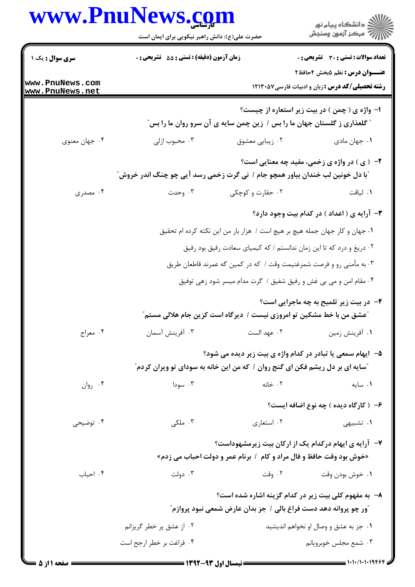## **WWW PniiNews com**

|                                    | حضرت علی(ع): دانش راهبر نیکویی برای ایمان است                                 |                                                                                                                                                    | ≦ دانشڪاه پيام نور<br>7- مرڪز آزمون وسنڊش                                                      |
|------------------------------------|-------------------------------------------------------------------------------|----------------------------------------------------------------------------------------------------------------------------------------------------|------------------------------------------------------------------------------------------------|
| <b>سری سوال :</b> یک ۱             | زمان آزمون (دقیقه) : تستی : 55 گشریحی : 0                                     |                                                                                                                                                    | تعداد سوالات : تستي : 30 - تشريحي : 0                                                          |
| www.PnuNews.com<br>www.PnuNews.net |                                                                               |                                                                                                                                                    | <b>عنـــوان درس :</b> نظم ۵بخش ۴حافظ۲<br><b>رشته تحصیلی/کد درس :</b> زبان و ادبیات فارسی7۱۳۰۵۷ |
|                                    |                                                                               | <b>" گلعذاری ز گلستان جهان ما را بس / زین چمن سایه ی آن سرو روان ما را بس</b> "                                                                    | ۱- واژه ی ( چمن ) در بیت زیر استعاره از چیست؟                                                  |
| ۰۴ جهان معنوي                      | ۰۳ محبوب ازلی                                                                 | ۰۲ زیبایی معشوق                                                                                                                                    | ۰۱ جهان مادی                                                                                   |
|                                    | آبا دل خونین لب خندان بیاور همچو جام / نی گرت زخمی رسد آیی چو چنگ اندر خروش ؒ |                                                                                                                                                    | ۲- ( ی ) در واژه ی زخمی، مفید چه معنایی است؟                                                   |
| ۰۴ مصدری                           | ۰۳ وحدت                                                                       | ۰۲ حقارت و کوچکی                                                                                                                                   | ٠١. لياقت                                                                                      |
|                                    |                                                                               |                                                                                                                                                    | ۳- آرایه ی ( اعداد ) در کدام بیت وجود دارد؟                                                    |
|                                    |                                                                               | ١. جهان و كار جهان جمله هيچ بر هيچ است / هزار بار من اين نكته كرده ام تحقيق                                                                        |                                                                                                |
|                                    |                                                                               | ۰۲ دریغ و درد که تا این زمان ندانستم / که کیمیای سعادت رفیق بود رفیق                                                                               |                                                                                                |
|                                    |                                                                               | ۰۳ به مأمني رو و فرصت شمرغنيمت وقت / كه در كمين گه عمرند قاطعان طريق                                                                               |                                                                                                |
|                                    |                                                                               | ۰۴ مقام امن و می بی غش و رفیق شفیق / گرت مدام میسر شود زهی توفیق                                                                                   |                                                                                                |
|                                    |                                                                               | <b>ً عشق من با خط مشکین تو امروزی نیست / دیرگاه است کزین جام هلالی مستم ؒ</b>                                                                      | ۴- در بیت زیر تلمیح به چه ماجرایی است؟                                                         |
| ۰۴ معراج                           | ۰۳ آفرینش آسمان                                                               | ۰۲ عهد الست                                                                                                                                        | ۰۱ آفرینش زمین                                                                                 |
|                                    |                                                                               | ۵– ایهام سمعی یا تبادر در کدام واژه ی بیت زیر دیده می شود؟<br><b>"سایه ای بر دل ریشم فکن ای گنج روان / که من این خانه به سودای تو ویران کردم</b> " |                                                                                                |
| ۰۴ روان                            | ۰۳ سودا                                                                       | ۰۲ خانه                                                                                                                                            | ٠١. سايه                                                                                       |
|                                    |                                                                               |                                                                                                                                                    | ۶– ( کارگاه دیده ) چه نوع اضافه ایست؟                                                          |
| ۰۴ توضیحی                          | ۰۳ ملکی                                                                       | ۰۲ استعاري                                                                                                                                         | ۰۱ تشبیهی                                                                                      |
|                                    |                                                                               | ۷- آرایه ی ایهام درکدام یک از ارکان بیت زیرمشهوداست؟<br>«خوش بود وقت حافظ و فال مراد و کام / برنام عمر و دولت احباب می زدم»                        |                                                                                                |
| ۰۴ احباب                           | ۰۳ دولت                                                                       | ۰۲ وقت                                                                                                                                             | ٠١ خوش بودن وقت                                                                                |
|                                    |                                                                               | ۸- به مفهوم کلی بیت زیر در کدام گزینه اشاره شده است؟<br><b>ّور چو پروانه دهد دست فراغ بالی / جز بدان عارض شمعی نبود پروازم</b> ؒ                   |                                                                                                |
|                                    | ۰۲ از عشق پر خطر گریزانم                                                      |                                                                                                                                                    | ۰۱ جز به عشق و وصال او نخواهم اندیشید                                                          |
|                                    | ۰۴ فراغت بر خطر ارجح است                                                      |                                                                                                                                                    | ۰۳ شمع مجلس خوبرويانم                                                                          |
|                                    |                                                                               |                                                                                                                                                    |                                                                                                |

 $1 - 1 - 11 - 11959$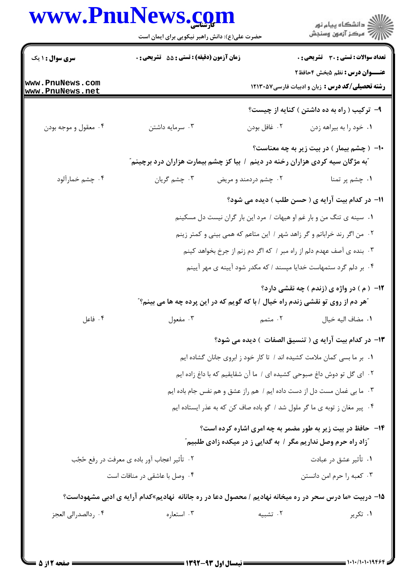## www.PnuNews.com

| www.PnuNews.com                    | حضرت علی(ع): دانش راهبر نیکویی برای ایمان است                                                          |                                                                                        | انشگاه پيام نور)<br>اگر مرکز آزمون وسنجش                                                 |
|------------------------------------|--------------------------------------------------------------------------------------------------------|----------------------------------------------------------------------------------------|------------------------------------------------------------------------------------------|
| <b>سری سوال : ۱ یک</b>             | زمان آزمون (دقیقه) : تستی : 55 آتشریحی : 0                                                             |                                                                                        | <b>تعداد سوالات : تستی : 30 ٪ تشریحی : 0</b>                                             |
| www.PnuNews.com<br>www.PnuNews.net |                                                                                                        |                                                                                        | <b>عنـــوان درس :</b> نظم ۵بخش ۴حافظ۲<br>رشته تحصیلی/کد درس : زبان و ادبیات فارسی۷۵۲۳۰۵۷ |
|                                    |                                                                                                        |                                                                                        | ۹- ترکیب ( راه به ده داشتن ) کنایه از چیست؟                                              |
| ۰۴ معقول و موجه بودن               | ۰۳ سرمایه داشتن                                                                                        | ۰۲ غافل بودن                                                                           | ٠١ خود را به بيراهه زدن                                                                  |
|                                    | آبه مژگان سیه کردی هزاران رخنه در دینم ۱ بیا کز چشم بیمارت هزاران درد برچینم ّ                         |                                                                                        | ۱۰– ( چشم بیمار ) در بیت زیر به چه معناست؟                                               |
| ۰۴ چشم خمارآلود                    | ۰۳ چشم گريان                                                                                           | ۰۲ چشم دردمند و مریض                                                                   | ۰۱ چشم پر تمنا                                                                           |
|                                    |                                                                                                        |                                                                                        | ۱۱- در کدام بیت آرایه ی ( حسن طلب ) دیده می شود؟                                         |
|                                    |                                                                                                        | ۱. سینه ی تنگ من و بار غم او هیهات / مرد این بار گران نیست دل مسکینم                   |                                                                                          |
|                                    | ۰۲ من اگر رند خراباتم و گر زاهد شهر / این متاعم که همی بینی و کمتر زینم                                |                                                                                        |                                                                                          |
|                                    | ۰۳ بنده ی آصف عهدم دلم از راه مبر / که اگر دم زنم از جرخ بخواهد کینم                                   |                                                                                        |                                                                                          |
|                                    |                                                                                                        | ۰۴ بر دلم گرد ستمهاست خدایا مپسند / که مکدر شود آیینه ی مهر آیینم                      |                                                                                          |
|                                    |                                                                                                        | <b>"هر دم از روی تو نقشی زندم راه خیال / با که گویم که در این پرده چه ها می بینم؟"</b> | <b>۱۲</b> - ( م ) در واژه ی (زندم ) چه نقشی دارد؟                                        |
| ۰۴ فاعل                            | ۰۳ مفعول                                                                                               | ۰۲ متمم                                                                                | ٠١. مضاف اليه خيال                                                                       |
|                                    |                                                                                                        |                                                                                        | ۱۳- در کدام بیت آرایه ی ( تنسیق الصفات ) دیده می شود؟                                    |
|                                    |                                                                                                        | ١. بر ما بسي كمان ملامت كشيده اند / تا كار خود ز ابروي جانان گشاده ايم                 |                                                                                          |
|                                    |                                                                                                        | ٢. ای گل تو دوش داغ صبوحی کشیده ای / ما آن شقایقیم که با داغ زاده ایم                  |                                                                                          |
|                                    |                                                                                                        | ۰۳ ما بی غمان مست دل از دست داده ایم / هم راز عشق و هم نفس جام باده ایم                |                                                                                          |
|                                    |                                                                                                        | ۰۴ پیر مغان ز توبه ی ما گر ملول شد / گو باده صاف کن که به عذر ایستاده ایم              |                                                                                          |
|                                    |                                                                                                        | <sup>"</sup> زاد راه حرم وصل نداریم مگر / به گدایی ز در میکده زادی طلبیم <i>"</i>      | <b>۱۴</b> - حافظ در بیت زیر به طور مضمر به چه امری اشاره کرده است؟                       |
|                                    | ۰۲ تأثیر اعجاب آور باده ی معرفت در رفع حُجُب                                                           |                                                                                        | ۰۱ تأثير عشق در عبادت                                                                    |
|                                    | ۰۴ وصل با عاشقی در منافات است                                                                          |                                                                                        | ۰۳ كعبه را حرم امن دانستن                                                                |
|                                    | ۱۵– دربیت «ما درس سحر در ره میخانه نهادیم / محصول دعا در ره جانانه  نهادیم»کدام آرایه ی ادبی مشهوداست؟ |                                                                                        |                                                                                          |
| ۰۴ ردالصدرالي العجز                | ۰۳ استعاره                                                                                             | ۰۲ تشبیه                                                                               | ۰۱ تکریر                                                                                 |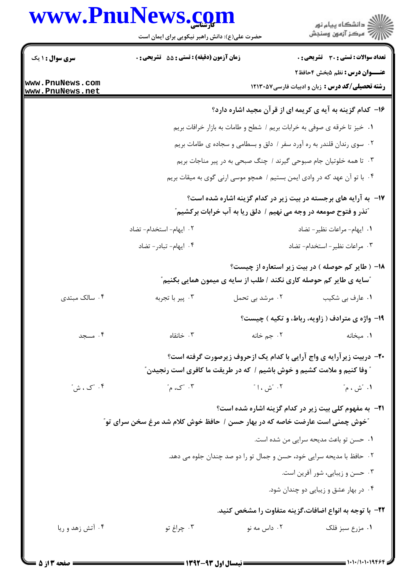## www.PnuNews.com



حضرت علی(ع): دانش راهبر نیکویی برای ایمان است

| <b>سری سوال : ۱ یک</b>             | زمان آزمون (دقیقه) : تستی : 55 - تشریحی : 0                                         |                    | <b>تعداد سوالات : تستی : 30 ٪ تشریحی : 0</b>                                                                                                                      |
|------------------------------------|-------------------------------------------------------------------------------------|--------------------|-------------------------------------------------------------------------------------------------------------------------------------------------------------------|
|                                    |                                                                                     |                    | <b>عنـــوان درس :</b> نظم ۵بخش ۴حافظ۲                                                                                                                             |
| www.PnuNews.com<br>www.PnuNews.net | <b>رشته تحصیلی/کد درس :</b> زبان و ادبیات فارسی1۲۱۳۰۵۷                              |                    |                                                                                                                                                                   |
|                                    |                                                                                     |                    | ۱۶- کدام گزینه به آیه ی کریمه ای از قرآن مجید اشاره دارد؟                                                                                                         |
|                                    |                                                                                     |                    | ١. خيز تا خرقه ي صوفي به خرابات بريم / شطح و طامات به بازار خرافات بريم                                                                                           |
|                                    |                                                                                     |                    | ۰۲ سوی رندان قلندر به ره آورد سفر / دلق و بسطامی و سجاده ی طامات بریم                                                                                             |
|                                    |                                                                                     |                    | ۰۳ تا همه خلوتیان جام صبوحی گیرند / چنگ صبحی به در پیر مناجات بریم                                                                                                |
|                                    |                                                                                     |                    | ۰۴ با تو آن عهد که در وادی ایمن بستیم / همچو موسی ارنی گوی به میقات بریم                                                                                          |
|                                    |                                                                                     |                    | ۱۷- به آرایه های برجسته در بیت زیر در کدام گزینه اشاره شده است؟                                                                                                   |
|                                    |                                                                                     |                    | "نذر و فتوح صومعه در وجه می نهیم / دلق ریا به آب خرابات برکشیم"                                                                                                   |
|                                    | ۰۲ ایهام- استخدام- تضاد                                                             |                    | ٠١. ايهام- مراعات نظير- تضاد                                                                                                                                      |
|                                    | ۰۴ ایهام- تبادر- تضاد                                                               |                    | ۰۳ مراعات نظیر – استخدام- تضاد                                                                                                                                    |
|                                    |                                                                                     |                    | ۱۸– ( طایر کم حوصله ) در بیت زیر استعاره از چیست؟                                                                                                                 |
|                                    |                                                                                     |                    | <sup>"</sup> سایه ی طایر کم حوصله کاری نکند / طلب از سایه ی میمون همایی بکنیم <i>"</i>                                                                            |
| ۰۴ سالک مبتدی                      | ۰۳ پیر با تجربه                                                                     | ۰۲ مرشد بی تحمل    | ۰۱ عارف بي شكيب                                                                                                                                                   |
|                                    |                                                                                     |                    | ۱۹- واژه ی مترادف ( زاویه، رباط، و تکیه ) چیست؟                                                                                                                   |
| ۰۴ مسجد                            | ۰۳ خانقاه                                                                           | ۰۲ جم خانه         | ۰۱ میخانه                                                                                                                                                         |
|                                    |                                                                                     |                    | +۲- دربیت زیر آرایه ی واج آرایی با کدام یک ازحروف زیرصورت گرفته است؟<br><sup>"</sup> وفا کنیم و ملامت کشیم و خوش باشیم / که در طریقت ما کافری است رنجیدن <i>"</i> |
| ۰۴ "ک ، ش ّ                        | ۰۳ "ک <b>،</b> م <sup>"</sup>                                                       | ۰۲ "ش ، ا <i>"</i> | ۰۱ "ش ، م"                                                                                                                                                        |
|                                    | <b>"خوش چمنی است عارضت خاصه که در بهار حسن / حافظ خوش کلام شد مرغ سخن سرای تو</b> " |                    | <b>۲۱</b> - به مفهوم کلی بیت زیر در کدام گزینه اشاره شده است؟                                                                                                     |
|                                    |                                                                                     |                    | ٠١ حسن تو باعث مديحه سرايي من شده است.                                                                                                                            |
|                                    |                                                                                     |                    | ۲.  حافظ با مدیحه سرایی خود، حسن و جمال تو را دو صد چندان جلوه می دهد.                                                                                            |
|                                    |                                                                                     |                    | ۰۳ حسن و زیبایی، شور آفرین است.                                                                                                                                   |
|                                    |                                                                                     |                    | ۰۴ در بهار عشق و زیبایی دو چندان شود.                                                                                                                             |
|                                    |                                                                                     |                    | ۲۲−  با توجه به انواع اضافات،گزینه متفاوت را مشخص کنید.                                                                                                           |
| ۰۴ آتش زهد و ریا                   | ۰۳ چراغ تو                                                                          | ۰۲ داس مه نو       | ٠١ مزرع سبز فلک                                                                                                                                                   |
|                                    |                                                                                     |                    |                                                                                                                                                                   |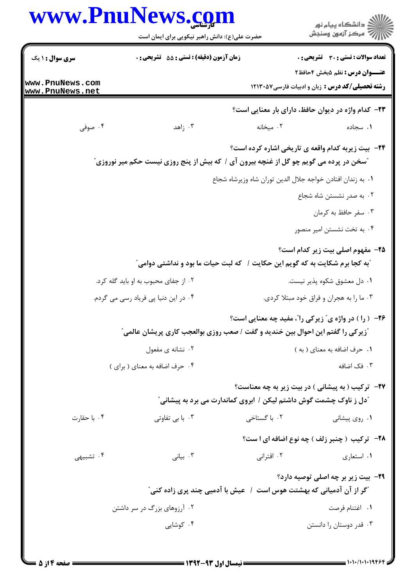| www.PnuNews.com                    | حضرت علی(ع): دانش راهبر نیکویی برای ایمان است                                                 |                                                                                                                                       | ڪ دانشڪاه پيام نور<br>∕7 مرڪز آزمون وسنڊش                                               |
|------------------------------------|-----------------------------------------------------------------------------------------------|---------------------------------------------------------------------------------------------------------------------------------------|-----------------------------------------------------------------------------------------|
| سری سوال : ۱ یک                    | زمان آزمون (دقیقه) : تستی : 55 تشریحی : 0                                                     |                                                                                                                                       | تعداد سوالات : تستى : 30 قشريحى : 0                                                     |
| www.PnuNews.com<br>www.PnuNews.net |                                                                                               |                                                                                                                                       | عنـــوان درس : نظم ۵بخش ۴حافظ۲<br><b>رشته تحصیلی/کد درس :</b> زبان و ادبیات فارسی7۱۳۰۵۷ |
|                                    |                                                                                               | ٢٣- كدام واژه در ديوان حافظ، داراي بار معنايي است؟                                                                                    |                                                                                         |
| ۰۴ صوفی                            | ۰۳ زاهد                                                                                       | ۰۲ میخانه                                                                                                                             | ٠١. سجاده                                                                               |
|                                    | <b>"سخن در پرده می گویم چو گل از غنچه بیرون آی / که بیش از پنج روزی نیست حکم میر نوروزی "</b> | <b>۲۴</b> - بیت زیربه کدام واقعه ی تاریخی اشاره کرده است؟                                                                             |                                                                                         |
|                                    |                                                                                               | ٠. به زندان افتادن خواجه جلال الدين توران شاه وزيرشاه شجاع                                                                            |                                                                                         |
|                                    |                                                                                               |                                                                                                                                       | ۰۲ به صدر نشستن شاه شجاع                                                                |
|                                    |                                                                                               |                                                                                                                                       | ۰۳ سفر حافظ به کرمان                                                                    |
|                                    |                                                                                               |                                                                                                                                       | ۰۴ به تخت نشستن امیر منصور                                                              |
|                                    | / که لبت حیات ما بود و نداشتی دوامی ؒ                                                         | "به کجا برم شکایت به که گویم این حکایت                                                                                                | ۲۵- مفهوم اصلی بیت زیر کدام است؟                                                        |
|                                    | ۰۲ از جفای محبوب به او باید گله کرد.                                                          |                                                                                                                                       | ۰۱ دل معشوق شکوه پذیر نیست.                                                             |
|                                    | ۰۴ در این دنیا پی فریاد رسی می گردم.                                                          |                                                                                                                                       | ۰۳ ما را به هجران و فراق خود مبتلا کردی.                                                |
|                                    | <b>ّزیرکی را گفتم این احوال بین خندید و گفت / صعب روزی بوالعجب کاری پریشان عالمی</b> ّ        | <b>۳۶</b> - ( را ) در واژه ی ؒ زیرکی را ؒ، مفید چه معنایی است؟                                                                        |                                                                                         |
|                                    | ۰۲ نشانه ی مفعول                                                                              |                                                                                                                                       | ٠١ حرف اضافه به معناى (به)                                                              |
|                                    | ۰۴ حرف اضافه به معنای (برای)                                                                  |                                                                                                                                       | ۰۳ فک اضافه                                                                             |
|                                    |                                                                                               | <b>۲۷</b> - ترکیب ( به پیشانی ) در بیت زیر به چه معناست؟<br><b>ّدل ز ناوک چشمت گوش داشتم لیکن / ابروی کماندارت می برد به پیشانی ّ</b> |                                                                                         |
| ۰۴ با حقارت                        | ۰۳ با بی تفاوتی                                                                               | ۰۲ با گستاخی                                                                                                                          | ۰۱ روی پیشانی                                                                           |
|                                    |                                                                                               |                                                                                                                                       | <b>۲۸</b> - ترکیب (چنبر زلف) چه نوع اضافه ای ا ست؟                                      |
| ۰۴ تشبیهی                          | ۰۳ بیانی                                                                                      | ۰۲ اقترانی                                                                                                                            | ۰۱ استعاری                                                                              |
|                                    |                                                                                               | <i>"گ</i> ر از آن آدمیانی که بهشتت هوس است ۱ عیش با آدمیی چند پری زاده کنی"                                                           | <b>۲۹</b> - بیت زیر بر چه اصلی توصیه دارد؟                                              |
|                                    | ۰۲ آرزوهای بزرگ در سر داشتن                                                                   |                                                                                                                                       | ٠١. اغتنام فرصت                                                                         |
|                                    | ۰۴ کوشایی                                                                                     |                                                                                                                                       | ۰۳ قدر دوستان را دانستن                                                                 |